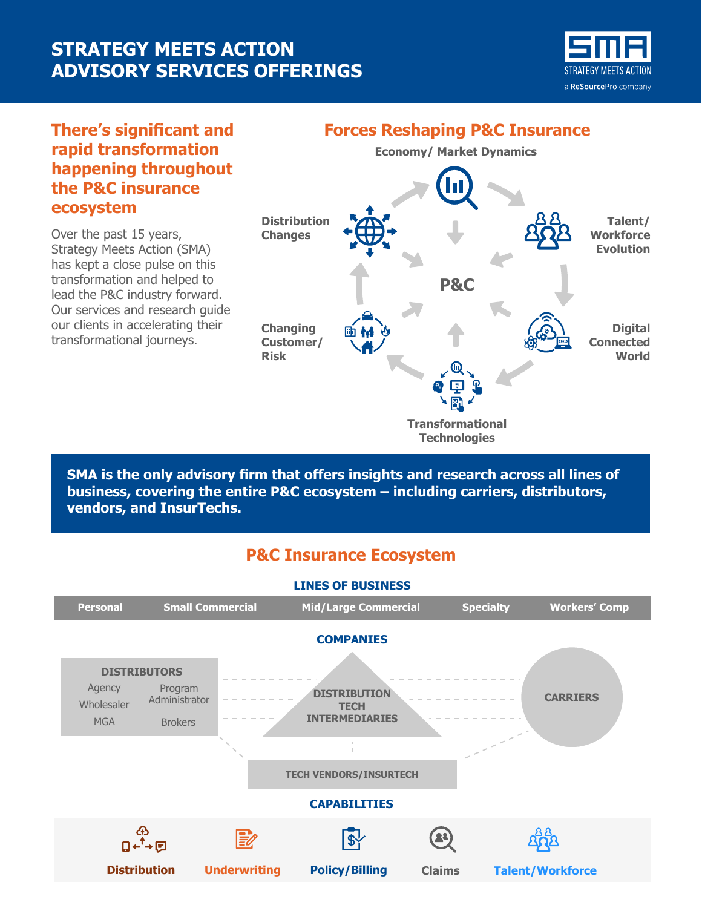# **STRATEGY MEETS ACTION ADVISORY SERVICES OFFERINGS**



#### **There's significant and rapid transformation happening throughout the P&C insurance ecosystem**

Over the past 15 years, Strategy Meets Action (SMA) has kept a close pulse on this transformation and helped to lead the P&C industry forward. Our services and research guide our clients in accelerating their transformational journeys.

### **Economy/ Market Dynamics P&C Transformational Technologies Distribution Changes Changing Customer/ Risk Talent/ Workforce Evolution Digital Connected World Forces Reshaping P&C Insurance**

**SMA is the only advisory firm that offers insights and research across all lines of business, covering the entire P&C ecosystem – including carriers, distributors, vendors, and InsurTechs.**

### **P&C Insurance Ecosystem**

## **LINES OF BUSINESS**